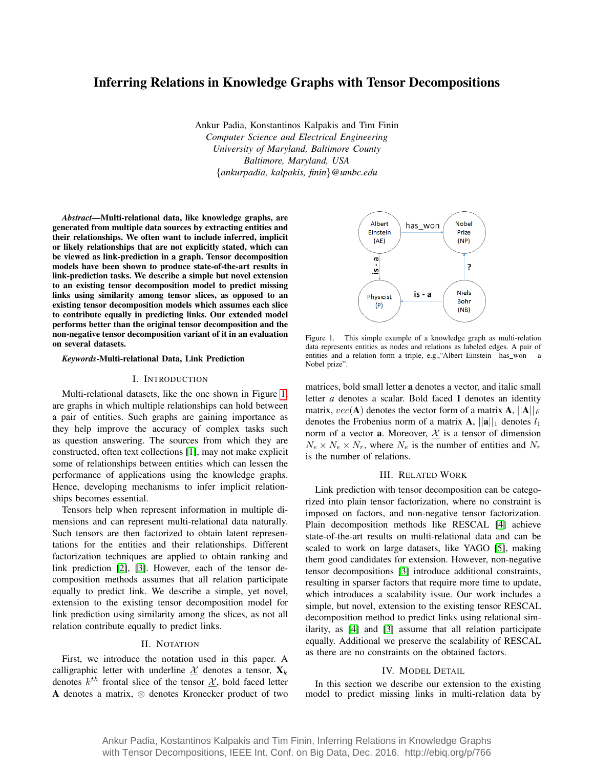# Inferring Relations in Knowledge Graphs with Tensor Decompositions

Ankur Padia, Konstantinos Kalpakis and Tim Finin *Computer Science and Electrical Engineering University of Maryland, Baltimore County Baltimore, Maryland, USA* {*ankurpadia, kalpakis, finin*}*@umbc.edu*

*Abstract*—Multi-relational data, like knowledge graphs, are generated from multiple data sources by extracting entities and their relationships. We often want to include inferred, implicit or likely relationships that are not explicitly stated, which can be viewed as link-prediction in a graph. Tensor decomposition models have been shown to produce state-of-the-art results in link-prediction tasks. We describe a simple but novel extension to an existing tensor decomposition model to predict missing links using similarity among tensor slices, as opposed to an existing tensor decomposition models which assumes each slice to contribute equally in predicting links. Our extended model performs better than the original tensor decomposition and the non-negative tensor decomposition variant of it in an evaluation on several datasets.

# *Keywords*-Multi-relational Data, Link Prediction

#### I. INTRODUCTION

Multi-relational datasets, like the one shown in Figure [1,](#page-0-0) are graphs in which multiple relationships can hold between a pair of entities. Such graphs are gaining importance as they help improve the accuracy of complex tasks such as question answering. The sources from which they are constructed, often text collections [\[1\]](#page-2-0), may not make explicit some of relationships between entities which can lessen the performance of applications using the knowledge graphs. Hence, developing mechanisms to infer implicit relationships becomes essential.

Tensors help when represent information in multiple dimensions and can represent multi-relational data naturally. Such tensors are then factorized to obtain latent representations for the entities and their relationships. Different factorization techniques are applied to obtain ranking and link prediction [\[2\]](#page-2-1), [\[3\]](#page-2-2). However, each of the tensor decomposition methods assumes that all relation participate equally to predict link. We describe a simple, yet novel, extension to the existing tensor decomposition model for link prediction using similarity among the slices, as not all relation contribute equally to predict links.

# II. NOTATION

First, we introduce the notation used in this paper. A calligraphic letter with underline X denotes a tensor,  $\mathbf{X}_k$ denotes  $k^{th}$  frontal slice of the tensor  $\underline{\mathcal{X}}$ , bold faced letter A denotes a matrix, ⊗ denotes Kronecker product of two



<span id="page-0-0"></span>Figure 1. This simple example of a knowledge graph as multi-relation data represents entities as nodes and relations as labeled edges. A pair of entities and a relation form a triple, e.g., "Albert Einstein has\_won a Nobel prize".

matrices, bold small letter a denotes a vector, and italic small letter *a* denotes a scalar. Bold faced I denotes an identity matrix,  $vec(\mathbf{A})$  denotes the vector form of a matrix  $\mathbf{A}, ||\mathbf{A}||_F$ denotes the Frobenius norm of a matrix  $A$ ,  $||a||_1$  denotes  $l_1$ norm of a vector **a**. Moreover,  $X$  is a tensor of dimension  $N_e \times N_e \times N_r$ , where  $N_e$  is the number of entities and  $N_r$ is the number of relations.

#### III. RELATED WORK

Link prediction with tensor decomposition can be categorized into plain tensor factorization, where no constraint is imposed on factors, and non-negative tensor factorization. Plain decomposition methods like RESCAL [\[4\]](#page-2-3) achieve state-of-the-art results on multi-relational data and can be scaled to work on large datasets, like YAGO [\[5\]](#page-2-4), making them good candidates for extension. However, non-negative tensor decompositions [\[3\]](#page-2-2) introduce additional constraints, resulting in sparser factors that require more time to update, which introduces a scalability issue. Our work includes a simple, but novel, extension to the existing tensor RESCAL decomposition method to predict links using relational similarity, as [\[4\]](#page-2-3) and [\[3\]](#page-2-2) assume that all relation participate equally. Additional we preserve the scalability of RESCAL as there are no constraints on the obtained factors.

### IV. MODEL DETAIL

In this section we describe our extension to the existing model to predict missing links in multi-relation data by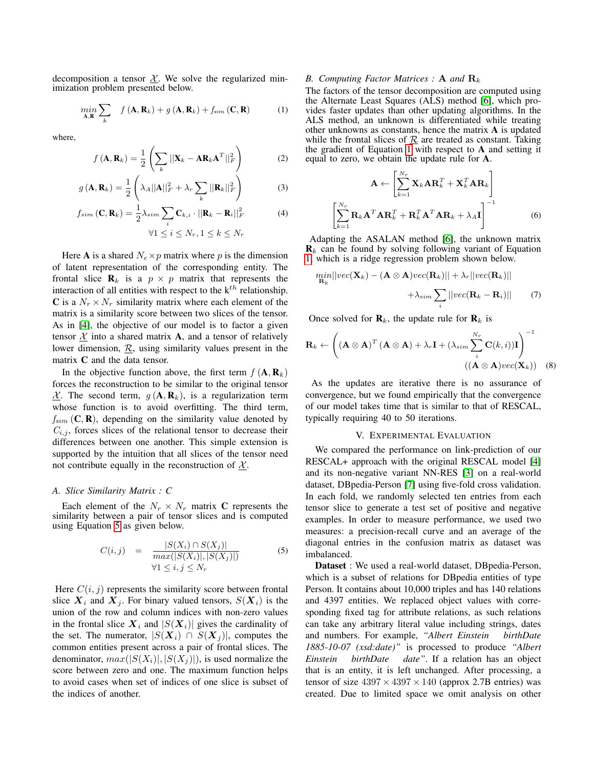decomposition a tensor  $X$ . We solve the regularized minimization problem presented below.

<span id="page-1-1"></span>
$$
\min_{\mathbf{A}, \mathbf{R}} \sum_{k} f(\mathbf{A}, \mathbf{R}_{k}) + g(\mathbf{A}, \mathbf{R}_{k}) + f_{sim}(\mathbf{C}, \mathbf{R})
$$
 (1)

where,

$$
f(\mathbf{A}, \mathbf{R}_k) = \frac{1}{2} \left( \sum_k ||\mathbf{X}_k - \mathbf{A} \mathbf{R}_k \mathbf{A}^T||_F^2 \right)
$$
(2)

$$
g\left(\mathbf{A}, \mathbf{R}_k\right) = \frac{1}{2} \left( \lambda_A ||\mathbf{A}||_F^2 + \lambda_r \sum_k ||\mathbf{R}_k||_F^2 \right) \tag{3}
$$

$$
f_{sim}(\mathbf{C}, \mathbf{R}_k) = \frac{1}{2} \lambda_{sim} \sum_{i} \mathbf{C}_{k,i} \cdot ||\mathbf{R}_k - \mathbf{R}_i||_F^2
$$
(4)  

$$
\forall 1 \le i \le N_r, 1 \le k \le N_r
$$

Here **A** is a shared  $N_e \times p$  matrix where p is the dimension of latent representation of the corresponding entity. The frontal slice  $\mathbf{R}_k$  is a  $p \times p$  matrix that represents the interaction of all entities with respect to the  $k^{th}$  relationship. C is a  $N_r \times N_r$  similarity matrix where each element of the matrix is a similarity score between two slices of the tensor. As in [\[4\]](#page-2-3), the objective of our model is to factor a given tensor  $X$  into a shared matrix A, and a tensor of relatively lower dimension,  $\mathcal{R}$ , using similarity values present in the matrix C and the data tensor.

In the objective function above, the first term  $f(\mathbf{A}, \mathbf{R}_k)$ forces the reconstruction to be similar to the original tensor  $X$ . The second term,  $g(A, R_k)$ , is a regularization term whose function is to avoid overfitting. The third term,  $f_{sim}$  (C, R), depending on the similarity value denoted by  $C_{i,j}$ , forces slices of the relational tensor to decrease their differences between one another. This simple extension is supported by the intuition that all slices of the tensor need not contribute equally in the reconstruction of  $\chi$ .

### *A. Slice Similarity Matrix : C*

Each element of the  $N_r \times N_r$  matrix C represents the similarity between a pair of tensor slices and is computed using Equation [5](#page-1-0) as given below.

<span id="page-1-0"></span>
$$
C(i,j) = \frac{|S(X_i) \cap S(X_j)|}{max(|S(X_i)|, |S(X_j)|)} \tag{5}
$$
  

$$
\forall 1 \le i, j \le N_r
$$

Here  $C(i, j)$  represents the similarity score between frontal slice  $X_i$  and  $X_j$ . For binary valued tensors,  $S(X_i)$  is the union of the row and column indices with non-zero values in the frontal slice  $X_i$  and  $|S(X_i)|$  gives the cardinality of the set. The numerator,  $|S(X_i) \cap S(X_j)|$ , computes the common entities present across a pair of frontal slices. The denominator,  $max(|S(X_i)|, |S(X_i)|)$ , is used normalize the score between zero and one. The maximum function helps to avoid cases when set of indices of one slice is subset of the indices of another.

#### *B. Computing Factor Matrices :* **A** *and*  $\mathbf{R}_k$

The factors of the tensor decomposition are computed using the Alternate Least Squares (ALS) method [\[6\]](#page-2-5), which provides faster updates than other updating algorithms. In the ALS method, an unknown is differentiated while treating other unknowns as constants, hence the matrix A is updated while the frontal slices of  $\mathcal{R}$  are treated as constant. Taking the gradient of Equation [1](#page-1-1) with respect to A and setting it equal to zero, we obtain the update rule for A.

$$
\mathbf{A} \leftarrow \left[ \sum_{k=1}^{N_r} \mathbf{X}_k \mathbf{A} \mathbf{R}_k^T + \mathbf{X}_k^T \mathbf{A} \mathbf{R}_k \right]
$$

$$
\left[ \sum_{k=1}^{N_r} \mathbf{R}_k \mathbf{A}^T \mathbf{A} \mathbf{R}_k^T + \mathbf{R}_k^T \mathbf{A}^T \mathbf{A} \mathbf{R}_k + \lambda_A \mathbf{I} \right]^{-1} \tag{6}
$$

Adapting the ASALAN method [\[6\]](#page-2-5), the unknown matrix  $\mathbf{R}_k$  can be found by solving following variant of Equation [1,](#page-1-1) which is a ridge regression problem shown below.

$$
\begin{aligned}\n\min_{\mathbf{R}_k} ||vec(\mathbf{X}_k) - (\mathbf{A} \otimes \mathbf{A})vec(\mathbf{R}_k)|| + \lambda_r ||vec(\mathbf{R}_k)|| \\
&+ \lambda_{sim} \sum_i ||vec(\mathbf{R}_k - \mathbf{R}_i)|| \n\end{aligned} \tag{7}
$$

Once solved for  $\mathbf{R}_k$ , the update rule for  $\mathbf{R}_k$  is

$$
\mathbf{R}_{k} \leftarrow \left( (\mathbf{A} \otimes \mathbf{A})^{T} (\mathbf{A} \otimes \mathbf{A}) + \lambda_{r} \mathbf{I} + (\lambda_{sim} \sum_{i}^{N_{r}} \mathbf{C}(k, i)) \mathbf{I} \right)^{-1}
$$
  

$$
((\mathbf{A} \otimes \mathbf{A}) vec(\mathbf{X}_{k})) \quad (8)
$$

As the updates are iterative there is no assurance of convergence, but we found empirically that the convergence of our model takes time that is similar to that of RESCAL, typically requiring 40 to 50 iterations.

#### V. EXPERIMENTAL EVALUATION

We compared the performance on link-prediction of our RESCAL+ approach with the original RESCAL model [\[4\]](#page-2-3) and its non-negative variant NN-RES [\[3\]](#page-2-2) on a real-world dataset, DBpedia-Person [\[7\]](#page-2-6) using five-fold cross validation. In each fold, we randomly selected ten entries from each tensor slice to generate a test set of positive and negative examples. In order to measure performance, we used two measures: a precision-recall curve and an average of the diagonal entries in the confusion matrix as dataset was imbalanced.

Dataset : We used a real-world dataset, DBpedia-Person, which is a subset of relations for DBpedia entities of type Person. It contains about 10,000 triples and has 140 relations and 4397 entities. We replaced object values with corresponding fixed tag for attribute relations, as such relations can take any arbitrary literal value including strings, dates and numbers. For example, *"Albert Einstein birthDate 1885-10-07 (xsd:date)"* is processed to produce *"Albert Einstein birthDate date"*. If a relation has an object that is an entity, it is left unchanged. After processing, a tensor of size  $4397 \times 4397 \times 140$  (approx 2.7B entries) was created. Due to limited space we omit analysis on other